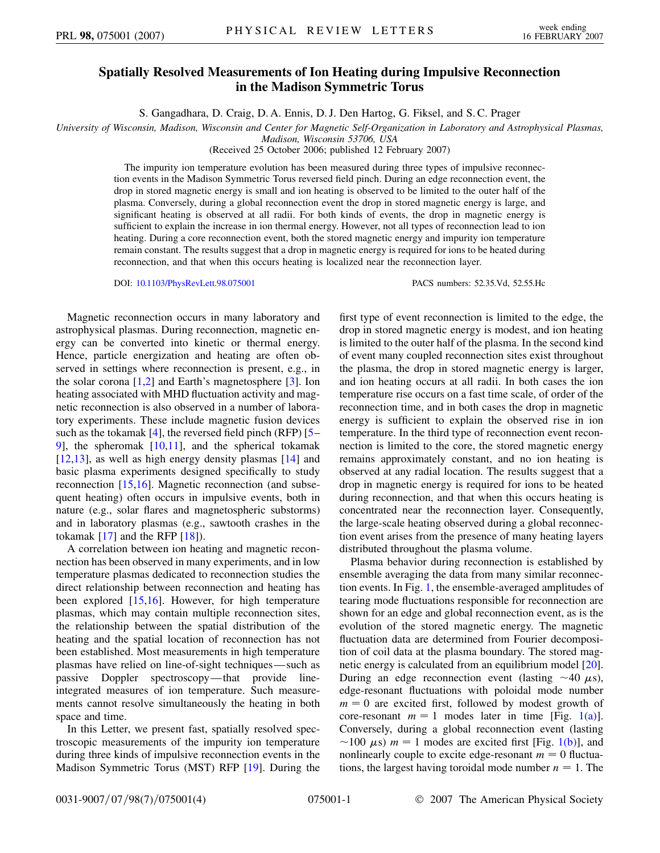## **Spatially Resolved Measurements of Ion Heating during Impulsive Reconnection in the Madison Symmetric Torus**

S. Gangadhara, D. Craig, D. A. Ennis, D. J. Den Hartog, G. Fiksel, and S. C. Prager

*University of Wisconsin, Madison, Wisconsin and Center for Magnetic Self-Organization in Laboratory and Astrophysical Plasmas,*

*Madison, Wisconsin 53706, USA*

(Received 25 October 2006; published 12 February 2007)

The impurity ion temperature evolution has been measured during three types of impulsive reconnection events in the Madison Symmetric Torus reversed field pinch. During an edge reconnection event, the drop in stored magnetic energy is small and ion heating is observed to be limited to the outer half of the plasma. Conversely, during a global reconnection event the drop in stored magnetic energy is large, and significant heating is observed at all radii. For both kinds of events, the drop in magnetic energy is sufficient to explain the increase in ion thermal energy. However, not all types of reconnection lead to ion heating. During a core reconnection event, both the stored magnetic energy and impurity ion temperature remain constant. The results suggest that a drop in magnetic energy is required for ions to be heated during reconnection, and that when this occurs heating is localized near the reconnection layer.

DOI: [10.1103/PhysRevLett.98.075001](http://dx.doi.org/10.1103/PhysRevLett.98.075001) PACS numbers: 52.35.Vd, 52.55.Hc

Magnetic reconnection occurs in many laboratory and astrophysical plasmas. During reconnection, magnetic energy can be converted into kinetic or thermal energy. Hence, particle energization and heating are often observed in settings where reconnection is present, e.g., in the solar corona  $[1,2]$  $[1,2]$  $[1,2]$  $[1,2]$  and Earth's magnetosphere  $[3]$ . Ion heating associated with MHD fluctuation activity and magnetic reconnection is also observed in a number of laboratory experiments. These include magnetic fusion devices such as the tokamak  $[4]$  $[4]$ , the reversed field pinch (RFP)  $[5 [5 [5-$ [9](#page-3-5)], the spheromak  $[10,11]$  $[10,11]$  $[10,11]$  $[10,11]$  $[10,11]$ , and the spherical tokamak  $[12,13]$  $[12,13]$ , as well as high energy density plasmas  $[14]$  and basic plasma experiments designed specifically to study reconnection [\[15](#page-3-11)[,16\]](#page-3-12). Magnetic reconnection (and subsequent heating) often occurs in impulsive events, both in nature (e.g., solar flares and magnetospheric substorms) and in laboratory plasmas (e.g., sawtooth crashes in the tokamak  $[17]$  $[17]$  $[17]$  and the RFP  $[18]$  $[18]$  $[18]$ ).

A correlation between ion heating and magnetic reconnection has been observed in many experiments, and in low temperature plasmas dedicated to reconnection studies the direct relationship between reconnection and heating has been explored [\[15](#page-3-11)[,16\]](#page-3-12). However, for high temperature plasmas, which may contain multiple reconnection sites, the relationship between the spatial distribution of the heating and the spatial location of reconnection has not been established. Most measurements in high temperature plasmas have relied on line-of-sight techniques—such as passive Doppler spectroscopy—that provide lineintegrated measures of ion temperature. Such measurements cannot resolve simultaneously the heating in both space and time.

In this Letter, we present fast, spatially resolved spectroscopic measurements of the impurity ion temperature during three kinds of impulsive reconnection events in the Madison Symmetric Torus (MST) RFP [[19](#page-3-15)]. During the first type of event reconnection is limited to the edge, the drop in stored magnetic energy is modest, and ion heating is limited to the outer half of the plasma. In the second kind of event many coupled reconnection sites exist throughout the plasma, the drop in stored magnetic energy is larger, and ion heating occurs at all radii. In both cases the ion temperature rise occurs on a fast time scale, of order of the reconnection time, and in both cases the drop in magnetic energy is sufficient to explain the observed rise in ion temperature. In the third type of reconnection event reconnection is limited to the core, the stored magnetic energy remains approximately constant, and no ion heating is observed at any radial location. The results suggest that a drop in magnetic energy is required for ions to be heated during reconnection, and that when this occurs heating is concentrated near the reconnection layer. Consequently, the large-scale heating observed during a global reconnection event arises from the presence of many heating layers distributed throughout the plasma volume.

Plasma behavior during reconnection is established by ensemble averaging the data from many similar reconnection events. In Fig. [1,](#page-1-0) the ensemble-averaged amplitudes of tearing mode fluctuations responsible for reconnection are shown for an edge and global reconnection event, as is the evolution of the stored magnetic energy. The magnetic fluctuation data are determined from Fourier decomposition of coil data at the plasma boundary. The stored magnetic energy is calculated from an equilibrium model [[20\]](#page-3-16). During an edge reconnection event (lasting  $\sim$ 40  $\mu$ s), edge-resonant fluctuations with poloidal mode number  $m = 0$  are excited first, followed by modest growth of core-resonant  $m = 1$  modes later in time [Fig. [1\(a\)\]](#page-1-1). Conversely, during a global reconnection event (lasting  $\sim$ 100  $\mu$ s)  $m = 1$  modes are excited first [Fig. [1\(b\)](#page-1-1)], and nonlinearly couple to excite edge-resonant  $m = 0$  fluctuations, the largest having toroidal mode number  $n = 1$ . The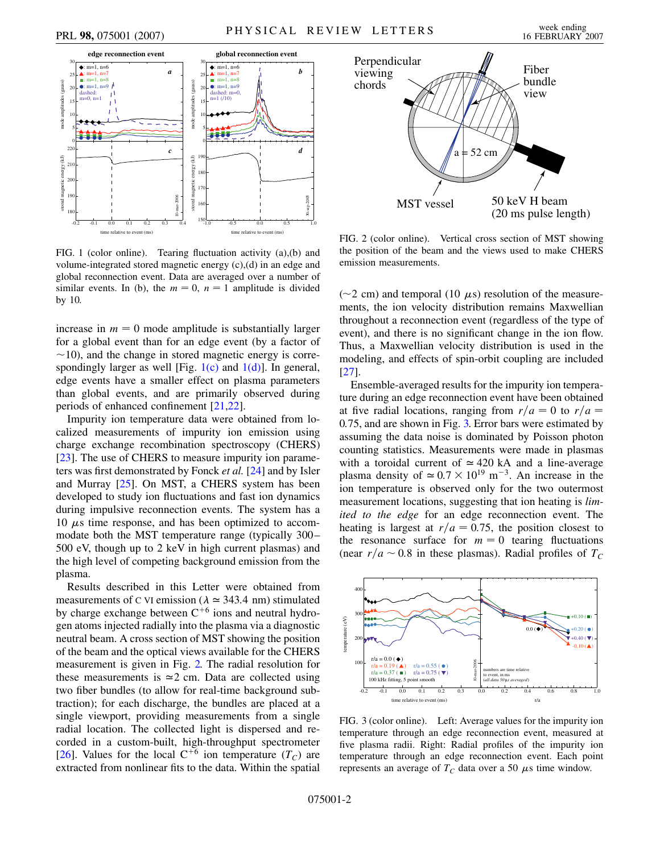<span id="page-1-0"></span>

<span id="page-1-1"></span>FIG. 1 (color online). Tearing fluctuation activity (a),(b) and volume-integrated stored magnetic energy (c),(d) in an edge and global reconnection event. Data are averaged over a number of similar events. In (b), the  $m = 0$ ,  $n = 1$  amplitude is divided by 10.

increase in  $m = 0$  mode amplitude is substantially larger for a global event than for an edge event (by a factor of  $\sim$ 10), and the change in stored magnetic energy is correspondingly larger as well [Fig.  $1(c)$  and  $1(d)$ ]. In general, edge events have a smaller effect on plasma parameters than global events, and are primarily observed during periods of enhanced confinement [[21,](#page-3-17)[22](#page-3-18)].

Impurity ion temperature data were obtained from localized measurements of impurity ion emission using charge exchange recombination spectroscopy (CHERS) [\[23\]](#page-3-19). The use of CHERS to measure impurity ion parameters was first demonstrated by Fonck *et al.* [\[24\]](#page-3-20) and by Isler and Murray [\[25\]](#page-3-21). On MST, a CHERS system has been developed to study ion fluctuations and fast ion dynamics during impulsive reconnection events. The system has a  $10 \mu s$  time response, and has been optimized to accommodate both the MST temperature range (typically 300– 500 eV, though up to 2 keV in high current plasmas) and the high level of competing background emission from the plasma.

Results described in this Letter were obtained from measurements of C VI emission ( $\lambda \approx 343.4$  nm) stimulated by charge exchange between  $C^{+6}$  ions and neutral hydrogen atoms injected radially into the plasma via a diagnostic neutral beam. A cross section of MST showing the position of the beam and the optical views available for the CHERS measurement is given in Fig. [2.](#page-1-2) The radial resolution for these measurements is  $\simeq$  2 cm. Data are collected using two fiber bundles (to allow for real-time background subtraction); for each discharge, the bundles are placed at a single viewport, providing measurements from a single radial location. The collected light is dispersed and recorded in a custom-built, high-throughput spectrometer [\[26\]](#page-3-22). Values for the local  $C^{+6}$  ion temperature  $(T_C)$  are extracted from nonlinear fits to the data. Within the spatial

<span id="page-1-2"></span>

FIG. 2 (color online). Vertical cross section of MST showing the position of the beam and the views used to make CHERS emission measurements.

( $\sim$ 2 cm) and temporal (10  $\mu$ s) resolution of the measurements, the ion velocity distribution remains Maxwellian throughout a reconnection event (regardless of the type of event), and there is no significant change in the ion flow. Thus, a Maxwellian velocity distribution is used in the modeling, and effects of spin-orbit coupling are included [\[27\]](#page-3-23).

Ensemble-averaged results for the impurity ion temperature during an edge reconnection event have been obtained at five radial locations, ranging from  $r/a = 0$  to  $r/a =$ 0*:*75, and are shown in Fig. [3.](#page-1-3) Error bars were estimated by assuming the data noise is dominated by Poisson photon counting statistics. Measurements were made in plasmas with a toroidal current of  $\simeq$  420 kA and a line-average plasma density of  $\simeq 0.7 \times 10^{19}$  m<sup>-3</sup>. An increase in the ion temperature is observed only for the two outermost measurement locations, suggesting that ion heating is *limited to the edge* for an edge reconnection event. The heating is largest at  $r/a = 0.75$ , the position closest to the resonance surface for  $m = 0$  tearing fluctuations (near  $r/a \sim 0.8$  in these plasmas). Radial profiles of  $T_c$ 

<span id="page-1-3"></span>

FIG. 3 (color online). Left: Average values for the impurity ion temperature through an edge reconnection event, measured at five plasma radii. Right: Radial profiles of the impurity ion temperature through an edge reconnection event. Each point represents an average of  $T_c$  data over a 50  $\mu$ s time window.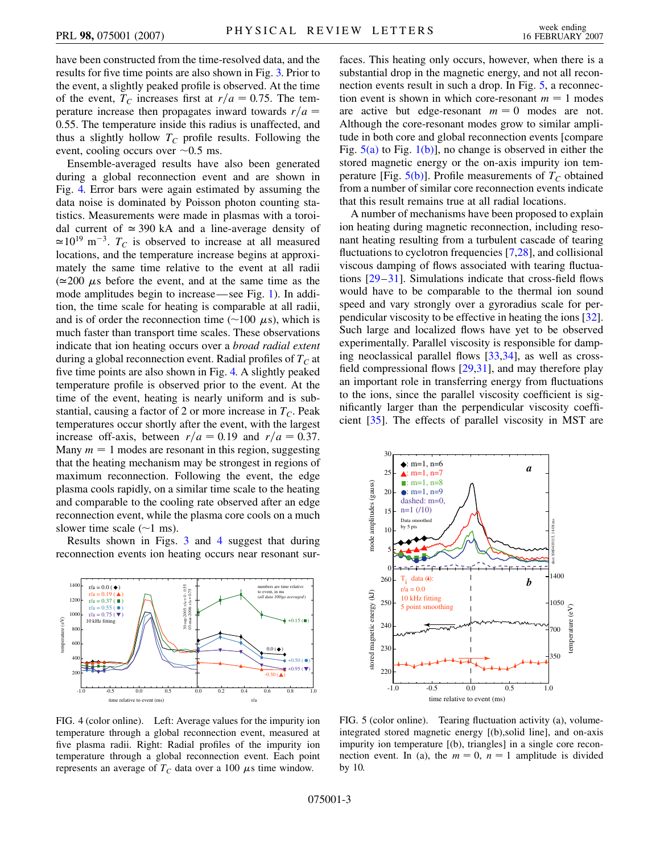have been constructed from the time-resolved data, and the results for five time points are also shown in Fig. [3.](#page-1-3) Prior to the event, a slightly peaked profile is observed. At the time of the event,  $T_c$  increases first at  $r/a = 0.75$ . The temperature increase then propagates inward towards  $r/a =$ 0*:*55. The temperature inside this radius is unaffected, and thus a slightly hollow  $T_C$  profile results. Following the event, cooling occurs over  $~10.5$  ms.

Ensemble-averaged results have also been generated during a global reconnection event and are shown in Fig. [4.](#page-2-0) Error bars were again estimated by assuming the data noise is dominated by Poisson photon counting statistics. Measurements were made in plasmas with a toroidal current of  $\simeq$  390 kA and a line-average density of  $\approx 10^{19}$  m<sup>-3</sup>.  $T_c$  is observed to increase at all measured locations, and the temperature increase begins at approximately the same time relative to the event at all radii  $(\simeq 200 \mu s)$  before the event, and at the same time as the mode amplitudes begin to increase—see Fig. [1](#page-1-0)). In addition, the time scale for heating is comparable at all radii, and is of order the reconnection time  $(\sim 100 \ \mu s)$ , which is much faster than transport time scales. These observations indicate that ion heating occurs over a *broad radial extent* during a global reconnection event. Radial profiles of  $T_C$  at five time points are also shown in Fig. [4.](#page-2-0) A slightly peaked temperature profile is observed prior to the event. At the time of the event, heating is nearly uniform and is substantial, causing a factor of 2 or more increase in  $T_c$ . Peak temperatures occur shortly after the event, with the largest increase off-axis, between  $r/a = 0.19$  and  $r/a = 0.37$ . Many  $m = 1$  modes are resonant in this region, suggesting that the heating mechanism may be strongest in regions of maximum reconnection. Following the event, the edge plasma cools rapidly, on a similar time scale to the heating and comparable to the cooling rate observed after an edge reconnection event, while the plasma core cools on a much slower time scale  $(\sim)1$  ms).

Results shown in Figs. [3](#page-1-3) and [4](#page-2-0) suggest that during reconnection events ion heating occurs near resonant sur-

<span id="page-2-0"></span>

FIG. 4 (color online). Left: Average values for the impurity ion temperature through a global reconnection event, measured at five plasma radii. Right: Radial profiles of the impurity ion temperature through a global reconnection event. Each point represents an average of  $T_C$  data over a 100  $\mu$ s time window.

faces. This heating only occurs, however, when there is a substantial drop in the magnetic energy, and not all reconnection events result in such a drop. In Fig. [5,](#page-2-1) a reconnection event is shown in which core-resonant  $m = 1$  modes are active but edge-resonant  $m = 0$  modes are not. Although the core-resonant modes grow to similar amplitude in both core and global reconnection events [compare Fig.  $5(a)$  to Fig. [1\(b\)\]](#page-1-1), no change is observed in either the stored magnetic energy or the on-axis impurity ion temperature [Fig.  $5(b)$ ]. Profile measurements of  $T_c$  obtained from a number of similar core reconnection events indicate that this result remains true at all radial locations.

A number of mechanisms have been proposed to explain ion heating during magnetic reconnection, including resonant heating resulting from a turbulent cascade of tearing fluctuations to cyclotron frequencies [\[7,](#page-3-24)[28\]](#page-3-25), and collisional viscous damping of flows associated with tearing fluctuations [\[29](#page-3-26)[–31\]](#page-3-27). Simulations indicate that cross-field flows would have to be comparable to the thermal ion sound speed and vary strongly over a gyroradius scale for perpendicular viscosity to be effective in heating the ions [[32\]](#page-3-28). Such large and localized flows have yet to be observed experimentally. Parallel viscosity is responsible for damping neoclassical parallel flows [\[33,](#page-3-29)[34\]](#page-3-30), as well as crossfield compressional flows [\[29,](#page-3-26)[31\]](#page-3-27), and may therefore play an important role in transferring energy from fluctuations to the ions, since the parallel viscosity coefficient is significantly larger than the perpendicular viscosity coefficient [[35\]](#page-3-31). The effects of parallel viscosity in MST are

<span id="page-2-1"></span>

<span id="page-2-2"></span>FIG. 5 (color online). Tearing fluctuation activity (a), volumeintegrated stored magnetic energy [(b),solid line], and on-axis impurity ion temperature [(b), triangles] in a single core reconnection event. In (a), the  $m = 0$ ,  $n = 1$  amplitude is divided by 10.